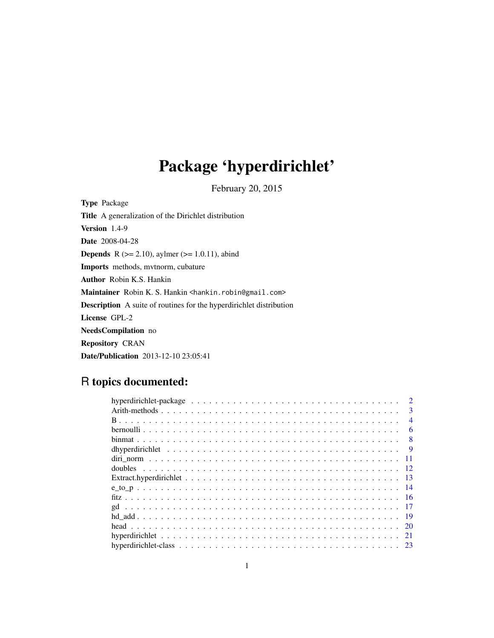# Package 'hyperdirichlet'

February 20, 2015

<span id="page-0-0"></span>Type Package Title A generalization of the Dirichlet distribution Version 1.4-9 Date 2008-04-28 **Depends** R ( $>= 2.10$ ), aylmer ( $>= 1.0.11$ ), abind Imports methods, mvtnorm, cubature Author Robin K.S. Hankin Maintainer Robin K. S. Hankin <hankin.robin@gmail.com> Description A suite of routines for the hyperdirichlet distribution License GPL-2 NeedsCompilation no Repository CRAN Date/Publication 2013-12-10 23:05:41

# R topics documented:

| $\mathcal{D}$            |
|--------------------------|
| $\mathbf{3}$             |
| $\boldsymbol{\varDelta}$ |
| 6                        |
| 8                        |
|                          |
|                          |
|                          |
|                          |
|                          |
|                          |
|                          |
|                          |
|                          |
| 21                       |
|                          |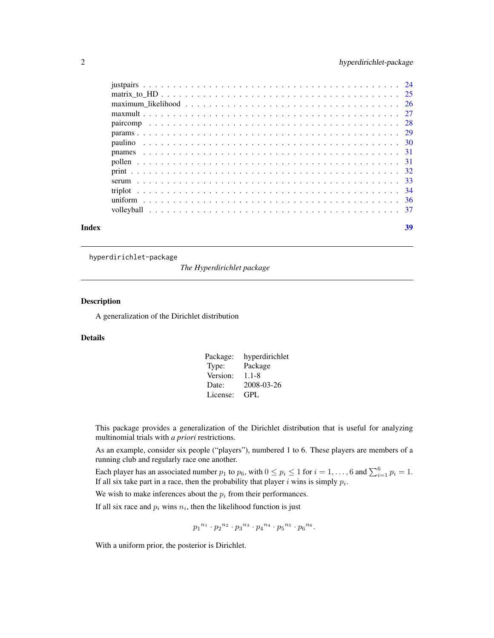<span id="page-1-0"></span>

| Index | 39 |
|-------|----|

hyperdirichlet-package

*The Hyperdirichlet package*

# Description

A generalization of the Dirichlet distribution

# Details

| Package: | hyperdirichlet |
|----------|----------------|
| Type:    | Package        |
| Version: | $1.1 - 8$      |
| Date:    | 2008-03-26     |
| License: | GPL.           |

This package provides a generalization of the Dirichlet distribution that is useful for analyzing multinomial trials with *a priori* restrictions.

As an example, consider six people ("players"), numbered 1 to 6. These players are members of a running club and regularly race one another.

Each player has an associated number  $p_1$  to  $p_6$ , with  $0 \le p_i \le 1$  for  $i = 1, \ldots, 6$  and  $\sum_{i=1}^{6} p_i = 1$ . If all six take part in a race, then the probability that player i wins is simply  $p_i$ .

We wish to make inferences about the  $p_i$  from their performances.

If all six race and  $p_i$  wins  $n_i$ , then the likelihood function is just

$$
{p_1}^{n_1} \cdot {p_2}^{n_2} \cdot {p_3}^{n_3} \cdot {p_4}^{n_4} \cdot {p_5}^{n_5} \cdot {p_6}^{n_6}.
$$

With a uniform prior, the posterior is Dirichlet.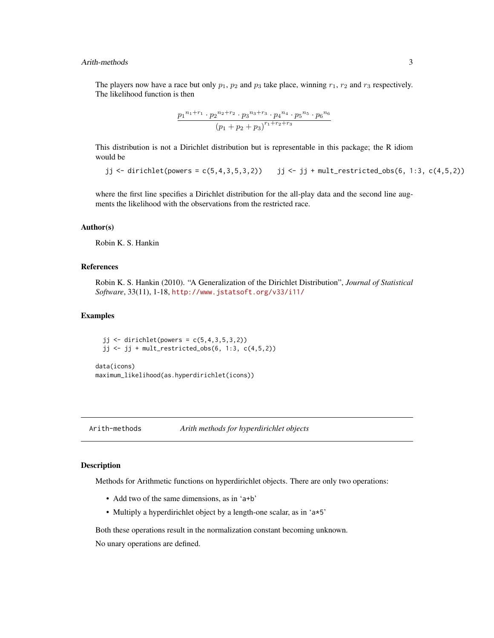# <span id="page-2-0"></span>Arith-methods 3

The players now have a race but only  $p_1$ ,  $p_2$  and  $p_3$  take place, winning  $r_1$ ,  $r_2$  and  $r_3$  respectively. The likelihood function is then

$$
\frac{p_1^{n_1+r_1} \cdot p_2^{n_2+r_2} \cdot p_3^{n_3+r_3} \cdot p_4^{n_4} \cdot p_5^{n_5} \cdot p_6^{n_6}}{(p_1+p_2+p_3)^{r_1+r_2+r_3}}
$$

This distribution is not a Dirichlet distribution but is representable in this package; the R idiom would be

jj <- dirichlet(powers =  $c(5,4,3,5,3,2)$ ) jj <- jj + mult\_restricted\_obs(6, 1:3, c(4,5,2))

where the first line specifies a Dirichlet distribution for the all-play data and the second line augments the likelihood with the observations from the restricted race.

#### Author(s)

Robin K. S. Hankin

# References

Robin K. S. Hankin (2010). "A Generalization of the Dirichlet Distribution", *Journal of Statistical Software*, 33(11), 1-18, <http://www.jstatsoft.org/v33/i11/>

# Examples

 $jj \leftarrow$  dirichlet(powers =  $c(5, 4, 3, 5, 3, 2)$ ) jj  $\leftarrow$  jj + mult\_restricted\_obs(6, 1:3, c(4,5,2))

data(icons) maximum\_likelihood(as.hyperdirichlet(icons))

Arith-methods *Arith methods for hyperdirichlet objects*

# Description

Methods for Arithmetic functions on hyperdirichlet objects. There are only two operations:

- Add two of the same dimensions, as in 'a+b'
- Multiply a hyperdirichlet object by a length-one scalar, as in 'a\*5'

Both these operations result in the normalization constant becoming unknown. No unary operations are defined.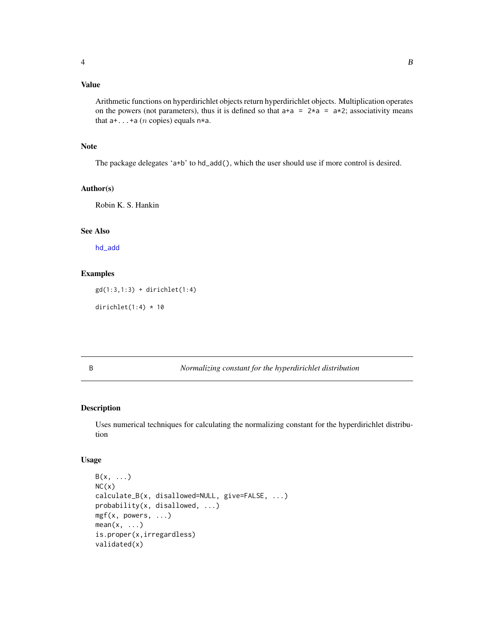# <span id="page-3-0"></span>Value

Arithmetic functions on hyperdirichlet objects return hyperdirichlet objects. Multiplication operates on the powers (not parameters), thus it is defined so that  $a+a = 2 \star a = a \star 2$ ; associativity means that  $a+...+a$  (*n* copies) equals  $n*a$ .

# Note

The package delegates 'a+b' to hd\_add(), which the user should use if more control is desired.

#### Author(s)

Robin K. S. Hankin

# See Also

[hd\\_add](#page-18-1)

### Examples

gd(1:3,1:3) + dirichlet(1:4)

dirichlet $(1:4) * 10$ 

<span id="page-3-2"></span>B *Normalizing constant for the hyperdirichlet distribution*

# <span id="page-3-1"></span>Description

Uses numerical techniques for calculating the normalizing constant for the hyperdirichlet distribution

# Usage

```
B(x, \ldots)NC(x)calculate_B(x, disallowed=NULL, give=FALSE, ...)
probability(x, disallowed, ...)
mgf(x, powers, ...)
mean(x, \ldots)is.proper(x,irregardless)
validated(x)
```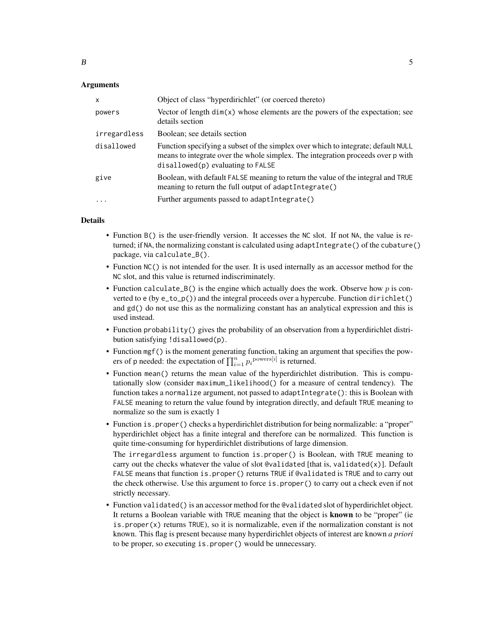# Arguments

| $\mathsf{x}$ | Object of class "hyperdirichlet" (or coerced thereto)                                                                                                                                                         |
|--------------|---------------------------------------------------------------------------------------------------------------------------------------------------------------------------------------------------------------|
| powers       | Vector of length $dim(x)$ whose elements are the powers of the expectation; see<br>details section                                                                                                            |
| irregardless | Boolean; see details section                                                                                                                                                                                  |
| disallowed   | Function specifying a subset of the simplex over which to integrate; default NULL<br>means to integrate over the whole simplex. The integration proceeds over p with<br>$disallowed(p)$ evaluating to $FALSE$ |
| give         | Boolean, with default FALSE meaning to return the value of the integral and TRUE<br>meaning to return the full output of adaptIntegrate()                                                                     |
| $\ddots$     | Further arguments passed to adaptIntegrate()                                                                                                                                                                  |

#### Details

- Function B() is the user-friendly version. It accesses the NC slot. If not NA, the value is returned; if NA, the normalizing constant is calculated using adaptIntegrate() of the cubature() package, via calculate\_B().
- Function NC() is not intended for the user. It is used internally as an accessor method for the NC slot, and this value is returned indiscriminately.
- Function calculate\_B() is the engine which actually does the work. Observe how  $p$  is converted to e (by e\_to\_p()) and the integral proceeds over a hypercube. Function dirichlet() and gd() do not use this as the normalizing constant has an analytical expression and this is used instead.
- Function probability() gives the probability of an observation from a hyperdirichlet distribution satisfying !disallowed(p).
- Function mgf() is the moment generating function, taking an argument that specifies the powers of p needed: the expectation of  $\prod_{i=1}^{n} p_i^{\text{powers}[i]}$  is returned.
- Function mean() returns the mean value of the hyperdirichlet distribution. This is computationally slow (consider maximum\_likelihood() for a measure of central tendency). The function takes a normalize argument, not passed to adaptIntegrate(): this is Boolean with FALSE meaning to return the value found by integration directly, and default TRUE meaning to normalize so the sum is exactly 1
- Function is.proper() checks a hyperdirichlet distribution for being normalizable: a "proper" hyperdirichlet object has a finite integral and therefore can be normalized. This function is quite time-consuming for hyperdirichlet distributions of large dimension.

The irregardless argument to function is.proper() is Boolean, with TRUE meaning to carry out the checks whatever the value of slot @validated [that is, validated $(x)$ ]. Default FALSE means that function is.proper() returns TRUE if @validated is TRUE and to carry out the check otherwise. Use this argument to force is.proper() to carry out a check even if not strictly necessary.

• Function validated() is an accessor method for the @validated slot of hyperdirichlet object. It returns a Boolean variable with TRUE meaning that the object is known to be "proper" (ie is. proper $(x)$  returns TRUE), so it is normalizable, even if the normalization constant is not known. This flag is present because many hyperdirichlet objects of interest are known *a priori* to be proper, so executing is.proper() would be unnecessary.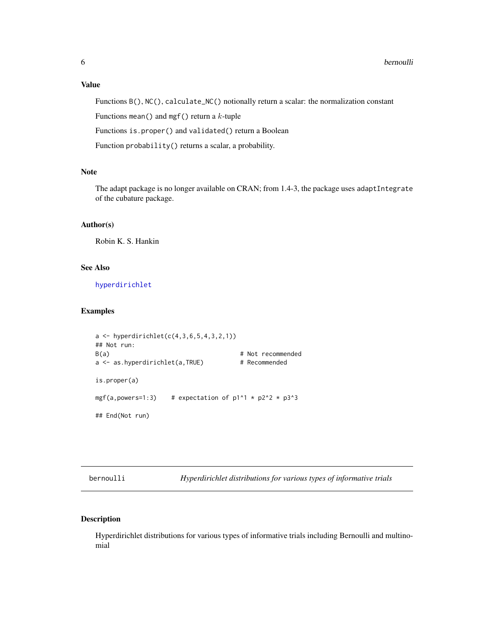# <span id="page-5-0"></span>Value

Functions B(), NC(), calculate\_NC() notionally return a scalar: the normalization constant

Functions mean() and mgf() return a  $k$ -tuple

Functions is.proper() and validated() return a Boolean

Function probability() returns a scalar, a probability.

# Note

The adapt package is no longer available on CRAN; from 1.4-3, the package uses adaptIntegrate of the cubature package.

### Author(s)

Robin K. S. Hankin

# See Also

[hyperdirichlet](#page-20-1)

# Examples

```
a \leftarrow \text{hyperdirichlet}(c(4, 3, 6, 5, 4, 3, 2, 1))## Not run:
B(a) # Not recommendeda <- as.hyperdirichlet(a,TRUE) # Recommended
is.proper(a)
mgf(a,powers=1:3) # expectation of p1^1 * p2^2 * p3^3## End(Not run)
```
bernoulli *Hyperdirichlet distributions for various types of informative trials*

# <span id="page-5-1"></span>Description

Hyperdirichlet distributions for various types of informative trials including Bernoulli and multinomial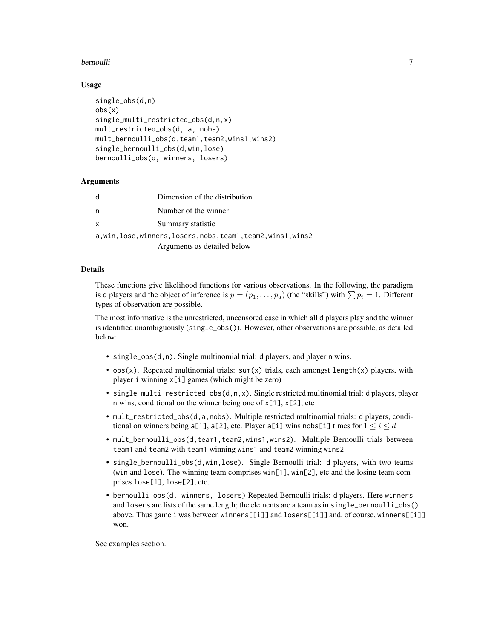# bernoulli 7

#### Usage

```
single_obs(d,n)
obs(x)
single_multi_restricted_obs(d,n,x)
mult_restricted_obs(d, a, nobs)
mult_bernoulli_obs(d,team1,team2,wins1,wins2)
single_bernoulli_obs(d,win,lose)
bernoulli_obs(d, winners, losers)
```
#### Arguments

| d            | Dimension of the distribution                                  |
|--------------|----------------------------------------------------------------|
| n            | Number of the winner                                           |
| $\mathsf{x}$ | Summary statistic                                              |
|              | a,win, lose, winners, losers, nobs, team1, team2, wins1, wins2 |
|              | Arguments as detailed below                                    |

#### Details

These functions give likelihood functions for various observations. In the following, the paradigm is d players and the object of inference is  $p = (p_1, \ldots, p_d)$  (the "skills") with  $\sum p_i = 1$ . Different types of observation are possible.

The most informative is the unrestricted, uncensored case in which all d players play and the winner is identified unambiguously (single\_obs()). However, other observations are possible, as detailed below:

- single\_obs(d,n). Single multinomial trial: d players, and player n wins.
- obs(x). Repeated multinomial trials:  $sum(x)$  trials, each amongst length(x) players, with player i winning x[i] games (which might be zero)
- single\_multi\_restricted\_obs(d,n,x). Single restricted multinomial trial: d players, player n wins, conditional on the winner being one of x[1], x[2], etc
- mult\_restricted\_obs(d,a,nobs). Multiple restricted multinomial trials: d players, conditional on winners being a[1], a[2], etc. Player a[1] wins nobs[1] times for  $1 \le i \le d$
- mult\_bernoulli\_obs(d,team1,team2,wins1,wins2). Multiple Bernoulli trials between team1 and team2 with team1 winning wins1 and team2 winning wins2
- single\_bernoulli\_obs(d,win,lose). Single Bernoulli trial: d players, with two teams (win and lose). The winning team comprises win[1], win[2], etc and the losing team comprises lose[1], lose[2], etc.
- bernoulli\_obs(d, winners, losers) Repeated Bernoulli trials: d players. Here winners and losers are lists of the same length; the elements are a team as in single\_bernoulli\_obs() above. Thus game i was between winners[[i]] and losers[[i]] and, of course, winners[[i]] won.

See examples section.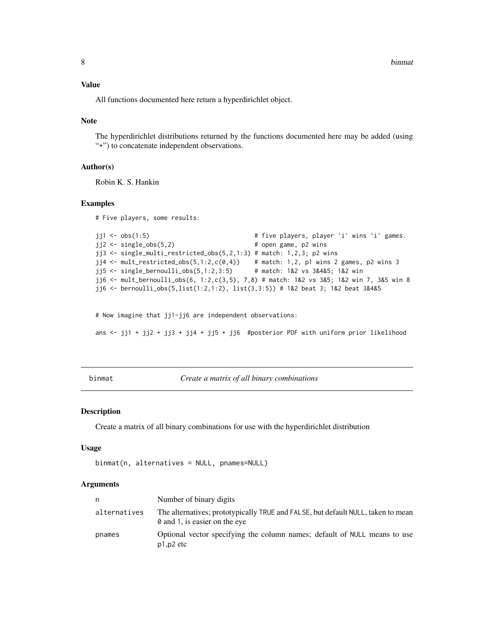#### <span id="page-7-0"></span>Value

All functions documented here return a hyperdirichlet object.

#### Note

The hyperdirichlet distributions returned by the functions documented here may be added (using "+") to concatenate independent observations.

#### Author(s)

Robin K. S. Hankin

#### Examples

# Five players, some results:

```
jj1 <- obs(1:5) \qquad # five players, player 'i' wins 'i' games.
jj2 \leq - single_obs(5,2) \qquad \qquad \qquad # open game, p2 wins
jj3 <- single_multi_restricted_obs(5, 2, 1:3) # match: 1,2,3; p2 wins
jj4 <- mult_restricted_obs(5,1:2,c(0,4)) # match: 1,2, p1 wins 2 games, p2 wins 3
jj5 <- single_bernoulli_obs(5,1:2,3:5) # match: 1&2 vs 3&4&5; 1&2 win
jj6 <- mult_bernoulli_obs(6, 1:2,c(3,5), 7,8) # match: 1&2 vs 3&5; 1&2 win 7, 3&5 win 8
jj6 <- bernoulli_obs(5,list(1:2,1:2), list(3,3:5)) # 1&2 beat 3; 1&2 beat 3&4&5
```
# Now imagine that jj1-jj6 are independent observations:

ans  $\le$ - jj1 + jj2 + jj3 + jj4 + jj5 + jj6 #posterior PDF with uniform prior likelihood

<span id="page-7-1"></span>binmat *Create a matrix of all binary combinations*

#### Description

Create a matrix of all binary combinations for use with the hyperdirichlet distribution

#### Usage

```
binmat(n, alternatives = NULL, pnames=NULL)
```
#### Arguments

| n.           | Number of binary digits                                                                                           |
|--------------|-------------------------------------------------------------------------------------------------------------------|
| alternatives | The alternatives; prototypically TRUE and FALSE, but default NULL, taken to mean<br>0 and 1, is easier on the eye |
| pnames       | Optional vector specifying the column names; default of NULL means to use<br>$p1,p2$ etc                          |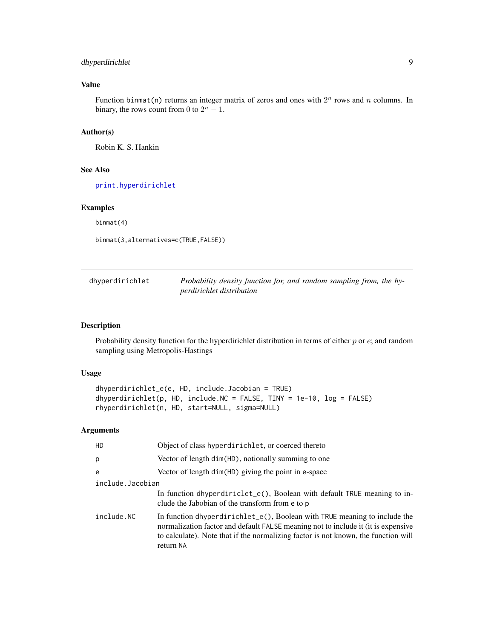# <span id="page-8-0"></span>dhyperdirichlet 9

# Value

Function binmat(n) returns an integer matrix of zeros and ones with  $2^n$  rows and n columns. In binary, the rows count from 0 to  $2^n - 1$ .

# Author(s)

Robin K. S. Hankin

# See Also

[print.hyperdirichlet](#page-31-1)

# Examples

binmat(4)

binmat(3,alternatives=c(TRUE,FALSE))

<span id="page-8-1"></span>

| dhyperdirichlet | Probability density function for, and random sampling from, the hy- |
|-----------------|---------------------------------------------------------------------|
|                 | perdirichlet distribution                                           |

# <span id="page-8-2"></span>Description

Probability density function for the hyperdirichlet distribution in terms of either  $p$  or  $e$ ; and random sampling using Metropolis-Hastings

# Usage

```
dhyperdirichlet_e(e, HD, include.Jacobian = TRUE)
dhyperdirichlet(p, HD, include.NC = FALSE, TINY = 1e-10, log = FALSE)
rhyperdirichlet(n, HD, start=NULL, sigma=NULL)
```
# Arguments

| <b>HD</b>        | Object of class hyperdirichlet, or coerced thereto                                                                                                                                                                                                                |  |
|------------------|-------------------------------------------------------------------------------------------------------------------------------------------------------------------------------------------------------------------------------------------------------------------|--|
| p                | Vector of length dim(HD), notionally summing to one                                                                                                                                                                                                               |  |
| e                | Vector of length dim(HD) giving the point in e-space                                                                                                                                                                                                              |  |
| include.Jacobian |                                                                                                                                                                                                                                                                   |  |
|                  | In function dhyperdiriclet_e(), Boolean with default TRUE meaning to in-<br>clude the Jabobian of the transform from e to p                                                                                                                                       |  |
| include.NC       | In function dhyperdirichlet_e(), Boolean with TRUE meaning to include the<br>normalization factor and default FALSE meaning not to include it (it is expensive<br>to calculate). Note that if the normalizing factor is not known, the function will<br>return NA |  |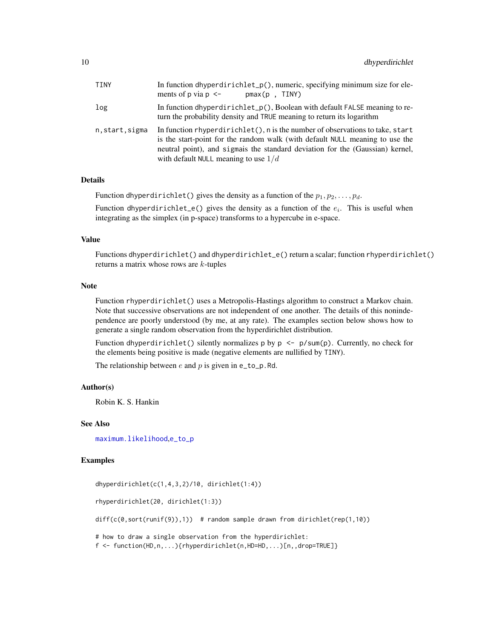<span id="page-9-0"></span>

| TINY          | In function dhyperdirichlet_p(), numeric, specifying minimum size for ele-<br>ments of p via $p \le -1$<br>$pmax(p$ . TINY)                                                                                                                                                                |
|---------------|--------------------------------------------------------------------------------------------------------------------------------------------------------------------------------------------------------------------------------------------------------------------------------------------|
| log           | In function dhyperdirichlet_p(), Boolean with default FALSE meaning to re-<br>turn the probability density and TRUE meaning to return its logarithm                                                                                                                                        |
| n.start.sigma | In function rhyperdirichlet(), $n$ is the number of observations to take, start<br>is the start-point for the random walk (with default NULL meaning to use the<br>neutral point), and sigmals the standard deviation for the (Gaussian) kernel,<br>with default NULL meaning to use $1/d$ |

#### Details

Function dhyperdirichlet() gives the density as a function of the  $p_1, p_2, \ldots, p_d$ .

Function dhyperdirichlet\_e() gives the density as a function of the  $e_i$ . This is useful when integrating as the simplex (in p-space) transforms to a hypercube in e-space.

#### Value

Functions dhyperdirichlet() and dhyperdirichlet\_e() return a scalar; function rhyperdirichlet() returns a matrix whose rows are k-tuples

#### Note

Function rhyperdirichlet() uses a Metropolis-Hastings algorithm to construct a Markov chain. Note that successive observations are not independent of one another. The details of this nonindependence are poorly understood (by me, at any rate). The examples section below shows how to generate a single random observation from the hyperdirichlet distribution.

Function dhyperdirichlet() silently normalizes p by p  $\leq -p/\text{sum}(p)$ . Currently, no check for the elements being positive is made (negative elements are nullified by TINY).

The relationship between  $e$  and  $p$  is given in e\_to\_p.Rd.

# Author(s)

Robin K. S. Hankin

### See Also

[maximum.likelihood](#page-25-1),[e\\_to\\_p](#page-13-1)

# Examples

```
dhyperdirichlet(c(1,4,3,2)/10, dirichlet(1:4))
rhyperdirichlet(20, dirichlet(1:3))
diff(c(0,sort(runif(9)),1)) # random sample drawn from dirichlet(rep(1,10))
# how to draw a single observation from the hyperdirichlet:
f <- function(HD,n,...){rhyperdirichlet(n,HD=HD,...)[n,,drop=TRUE]}
```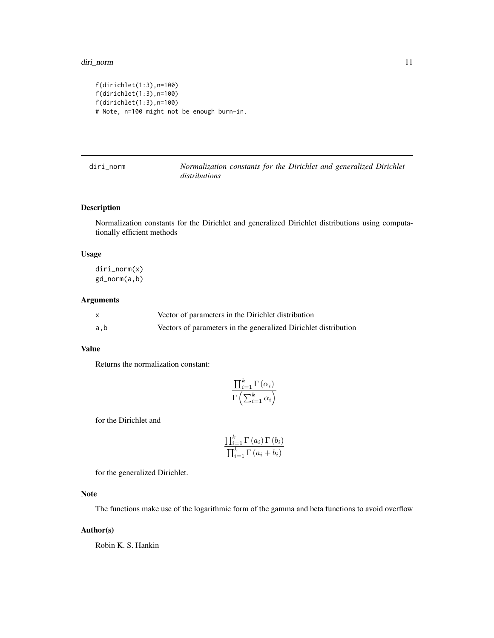```
f(dirichlet(1:3),n=100)
f(dirichlet(1:3),n=100)
f(dirichlet(1:3),n=100)
# Note, n=100 might not be enough burn-in.
```
diri\_norm *Normalization constants for the Dirichlet and generalized Dirichlet distributions*

# Description

Normalization constants for the Dirichlet and generalized Dirichlet distributions using computationally efficient methods

# Usage

diri\_norm(x) gd\_norm(a,b)

### Arguments

|     | Vector of parameters in the Dirichlet distribution              |
|-----|-----------------------------------------------------------------|
| a,b | Vectors of parameters in the generalized Dirichlet distribution |

#### Value

Returns the normalization constant:

$$
\frac{\prod_{i=1}^{k} \Gamma(\alpha_i)}{\Gamma\left(\sum_{i=1}^{k} \alpha_i\right)}
$$

for the Dirichlet and

$$
\frac{\prod_{i=1}^{k} \Gamma(a_i) \Gamma(b_i)}{\prod_{i=1}^{k} \Gamma(a_i + b_i)}
$$

for the generalized Dirichlet.

# Note

The functions make use of the logarithmic form of the gamma and beta functions to avoid overflow

# Author(s)

Robin K. S. Hankin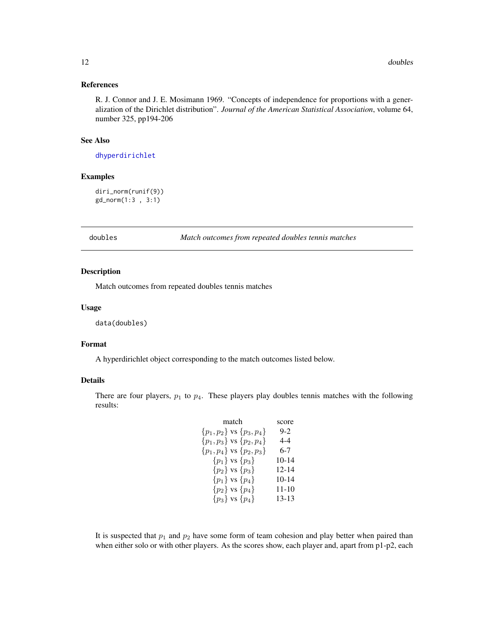#### <span id="page-11-0"></span>References

R. J. Connor and J. E. Mosimann 1969. "Concepts of independence for proportions with a generalization of the Dirichlet distribution". *Journal of the American Statistical Association*, volume 64, number 325, pp194-206

#### See Also

[dhyperdirichlet](#page-8-1)

# Examples

diri\_norm(runif(9)) gd\_norm(1:3 , 3:1)

doubles *Match outcomes from repeated doubles tennis matches*

# Description

Match outcomes from repeated doubles tennis matches

#### Usage

data(doubles)

#### Format

A hyperdirichlet object corresponding to the match outcomes listed below.

# Details

There are four players,  $p_1$  to  $p_4$ . These players play doubles tennis matches with the following results:

| match                            | score   |
|----------------------------------|---------|
| $\{p_1, p_2\}$ vs $\{p_3, p_4\}$ | $9-2$   |
| $\{p_1, p_3\}$ vs $\{p_2, p_4\}$ | 4-4     |
| $\{p_1, p_4\}$ vs $\{p_2, p_3\}$ | 6-7     |
| $\{p_1\}$ vs $\{p_3\}$           | 10-14   |
| $\{p_2\}$ vs $\{p_3\}$           | 12-14   |
| $\{p_1\}$ vs $\{p_4\}$           | $10-14$ |
| ${p_2}$ vs ${p_4}$               | 11-10   |
| $\{p_3\}$ vs $\{p_4\}$           | 13-13   |
|                                  |         |

It is suspected that  $p_1$  and  $p_2$  have some form of team cohesion and play better when paired than when either solo or with other players. As the scores show, each player and, apart from p1-p2, each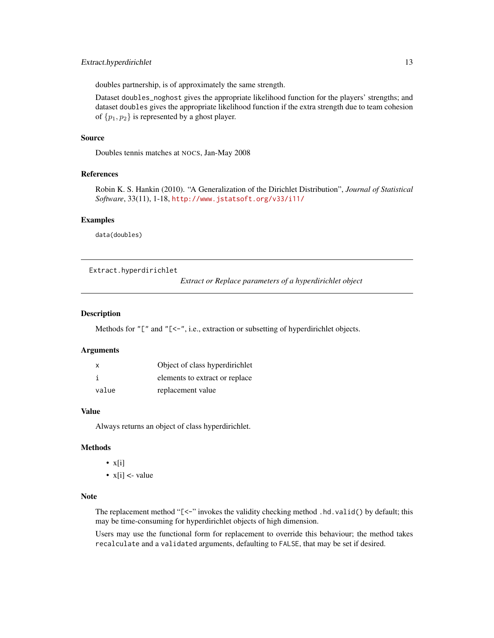# <span id="page-12-0"></span>Extract.hyperdirichlet 13

doubles partnership, is of approximately the same strength.

Dataset doubles\_noghost gives the appropriate likelihood function for the players' strengths; and dataset doubles gives the appropriate likelihood function if the extra strength due to team cohesion of  $\{p_1, p_2\}$  is represented by a ghost player.

# Source

Doubles tennis matches at NOCS, Jan-May 2008

#### References

Robin K. S. Hankin (2010). "A Generalization of the Dirichlet Distribution", *Journal of Statistical Software*, 33(11), 1-18, <http://www.jstatsoft.org/v33/i11/>

#### Examples

data(doubles)

Extract.hyperdirichlet

*Extract or Replace parameters of a hyperdirichlet object*

# <span id="page-12-1"></span>**Description**

Methods for "[" and "[<-", i.e., extraction or subsetting of hyperdirichlet objects.

#### Arguments

| х     | Object of class hyperdirichlet |
|-------|--------------------------------|
|       | elements to extract or replace |
| value | replacement value              |

# Value

Always returns an object of class hyperdirichlet.

# Methods

- $x[i]$
- $x[i] <$  value

# Note

The replacement method " $\ll$ -" invokes the validity checking method .hd.valid() by default; this may be time-consuming for hyperdirichlet objects of high dimension.

Users may use the functional form for replacement to override this behaviour; the method takes recalculate and a validated arguments, defaulting to FALSE, that may be set if desired.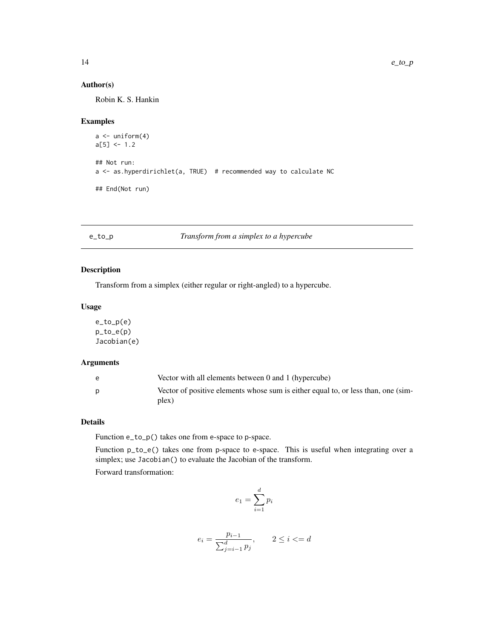# <span id="page-13-0"></span>Author(s)

Robin K. S. Hankin

# Examples

```
a \leftarrow \text{uniform}(4)a[5] <- 1.2
## Not run:
a <- as.hyperdirichlet(a, TRUE) # recommended way to calculate NC
## End(Not run)
```
<span id="page-13-1"></span>e\_to\_p *Transform from a simplex to a hypercube*

# Description

Transform from a simplex (either regular or right-angled) to a hypercube.

# Usage

e\_to\_p(e) p\_to\_e(p) Jacobian(e)

# Arguments

| e | Vector with all elements between 0 and 1 (hypercube)                                       |
|---|--------------------------------------------------------------------------------------------|
|   | Vector of positive elements whose sum is either equal to, or less than, one (sim-<br>plex) |

# Details

Function e\_to\_p() takes one from e-space to p-space.

Function p\_to\_e() takes one from p-space to e-space. This is useful when integrating over a simplex; use Jacobian() to evaluate the Jacobian of the transform.

Forward transformation:

$$
e_1 = \sum_{i=1}^d p_i
$$

$$
e_i = \frac{p_{i-1}}{\sum_{j=i-1}^{d} p_j}, \qquad 2 \le i \le d
$$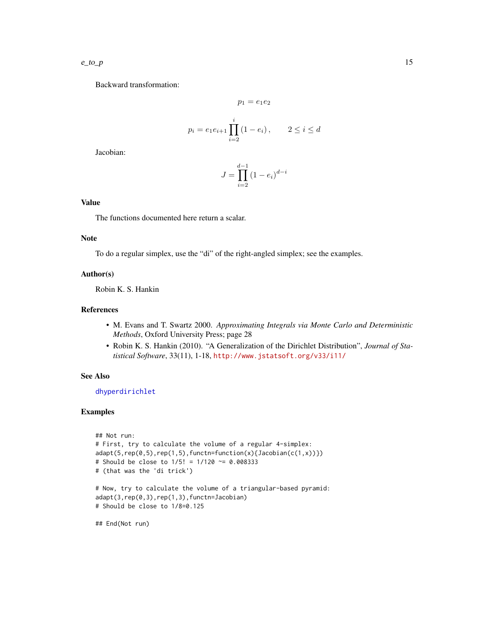<span id="page-14-0"></span>Backward transformation:

$$
p_1 = e_1 e_2
$$
  

$$
p_i = e_1 e_{i+1} \prod_{i=2}^i (1 - e_i), \qquad 2 \le i \le d
$$

Jacobian:

$$
J=\prod_{i=2}^{d-1}\left(1-e_i\right)^{d-i}
$$

# Value

The functions documented here return a scalar.

# Note

To do a regular simplex, use the "di" of the right-angled simplex; see the examples.

#### Author(s)

Robin K. S. Hankin

# References

- M. Evans and T. Swartz 2000. *Approximating Integrals via Monte Carlo and Deterministic Methods*, Oxford University Press; page 28
- Robin K. S. Hankin (2010). "A Generalization of the Dirichlet Distribution", *Journal of Statistical Software*, 33(11), 1-18, <http://www.jstatsoft.org/v33/i11/>

# See Also

[dhyperdirichlet](#page-8-1)

#### Examples

```
## Not run:
# First, try to calculate the volume of a regular 4-simplex:
adapt(5, rep(0,5), rep(1,5), function=function(x){Jacobian(c(1,x))})# Should be close to 1/5! = 1/120 ~= 0.008333
# (that was the 'di trick')
# Now, try to calculate the volume of a triangular-based pyramid:
adapt(3,rep(0,3),rep(1,3),functn=Jacobian)
# Should be close to 1/8=0.125
```
## End(Not run)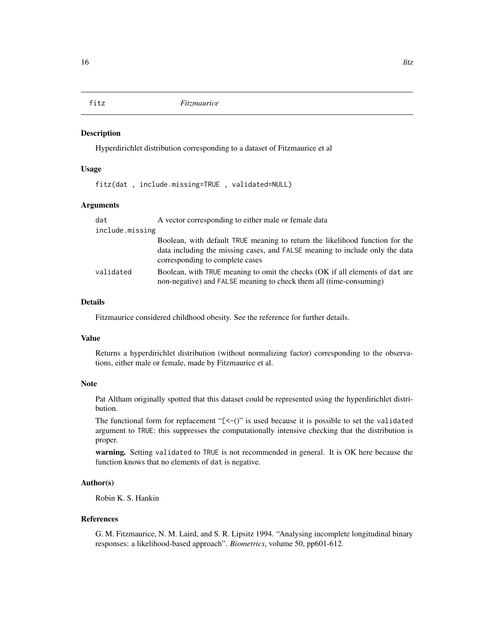<span id="page-15-0"></span>

# Description

Hyperdirichlet distribution corresponding to a dataset of Fitzmaurice et al

# Usage

fitz(dat , include.missing=TRUE , validated=NULL)

#### Arguments

| dat             | A vector corresponding to either male or female data                                                                                                                                            |
|-----------------|-------------------------------------------------------------------------------------------------------------------------------------------------------------------------------------------------|
| include.missing |                                                                                                                                                                                                 |
|                 | Boolean, with default TRUE meaning to return the likelihood function for the<br>data including the missing cases, and FALSE meaning to include only the data<br>corresponding to complete cases |
| validated       | Boolean, with TRUE meaning to omit the checks (OK if all elements of dat are<br>non-negative) and FALSE meaning to check them all (time-consuming)                                              |

# Details

Fitzmaurice considered childhood obesity. See the reference for further details.

#### Value

Returns a hyperdirichlet distribution (without normalizing factor) corresponding to the observations, either male or female, made by Fitzmaurice et al.

### Note

Pat Altham originally spotted that this dataset could be represented using the hyperdirichlet distribution.

The functional form for replacement " $\leq$ -()" is used because it is possible to set the validated argument to TRUE: this suppresses the computationally intensive checking that the distribution is proper.

warning. Setting validated to TRUE is not recommended in general. It is OK here because the function knows that no elements of dat is negative.

# Author(s)

Robin K. S. Hankin

# References

G. M. Fitzmaurice, N. M. Laird, and S. R. Lipsitz 1994. "Analysing incomplete longitudinal binary responses: a likelihood-based approach". *Biometrics*, volume 50, pp601-612.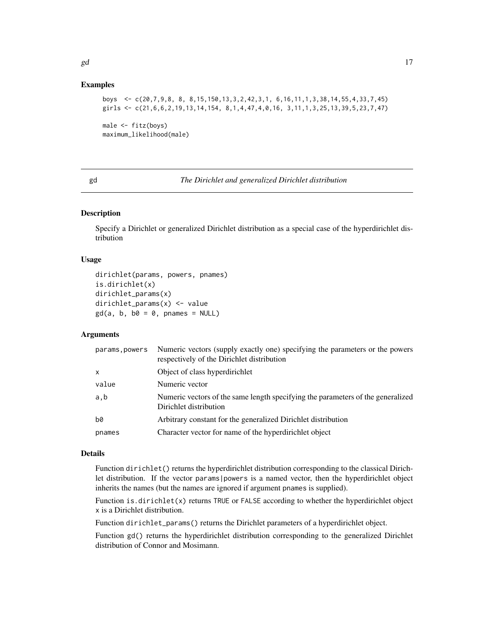# <span id="page-16-0"></span>Examples

```
boys <- c(20,7,9,8, 8, 8,15,150,13,3,2,42,3,1, 6,16,11,1,3,38,14,55,4,33,7,45)
girls <- c(21,6,6,2,19,13,14,154, 8,1,4,47,4,0,16, 3,11,1,3,25,13,39,5,23,7,47)
```

```
male <- fitz(boys)
maximum_likelihood(male)
```
gd *The Dirichlet and generalized Dirichlet distribution*

# <span id="page-16-1"></span>Description

Specify a Dirichlet or generalized Dirichlet distribution as a special case of the hyperdirichlet distribution

#### Usage

```
dirichlet(params, powers, pnames)
is.dirichlet(x)
dirichlet_params(x)
dirichlet_params(x) <- value
gd(a, b, b0 = 0, panames = NULL)
```
# Arguments

| params, powers | Numeric vectors (supply exactly one) specifying the parameters or the powers<br>respectively of the Dirichlet distribution |
|----------------|----------------------------------------------------------------------------------------------------------------------------|
| X              | Object of class hyperdirichlet                                                                                             |
| value          | Numeric vector                                                                                                             |
| a,b            | Numeric vectors of the same length specifying the parameters of the generalized<br>Dirichlet distribution                  |
| b0             | Arbitrary constant for the generalized Dirichlet distribution                                                              |
| pnames         | Character vector for name of the hyperdirichlet object                                                                     |
|                |                                                                                                                            |

# Details

Function dirichlet() returns the hyperdirichlet distribution corresponding to the classical Dirichlet distribution. If the vector params|powers is a named vector, then the hyperdirichlet object inherits the names (but the names are ignored if argument pnames is supplied).

Function is.dirichlet(x) returns TRUE or FALSE according to whether the hyperdirichlet object x is a Dirichlet distribution.

Function dirichlet\_params() returns the Dirichlet parameters of a hyperdirichlet object.

Function gd() returns the hyperdirichlet distribution corresponding to the generalized Dirichlet distribution of Connor and Mosimann.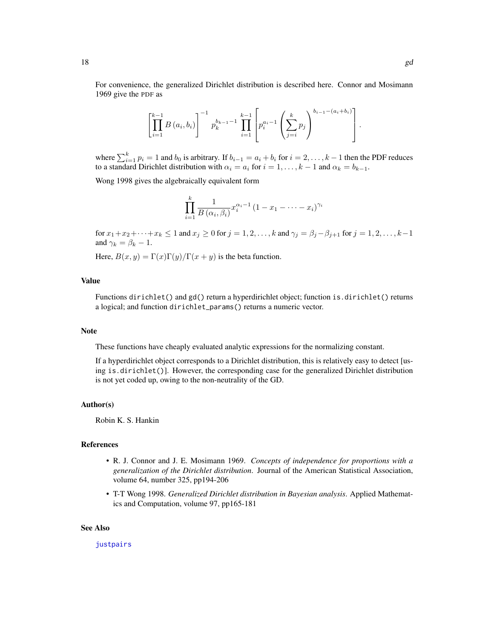<span id="page-17-0"></span>For convenience, the generalized Dirichlet distribution is described here. Connor and Mosimann 1969 give the PDF as

$$
\left[\prod_{i=1}^{k-1} B\left(a_i, b_i\right)\right]^{-1} p_k^{b_{k-1}-1} \prod_{i=1}^{k-1} \left[p_i^{a_i-1}\left(\sum_{j=i}^k p_j\right)^{b_{i-1}-(a_i+b_i)}\right].
$$

where  $\sum_{i=1}^{k} p_i = 1$  and  $b_0$  is arbitrary. If  $b_{i-1} = a_i + b_i$  for  $i = 2, \ldots, k-1$  then the PDF reduces to a standard Dirichlet distribution with  $\alpha_i = a_i$  for  $i = 1, \dots, k - 1$  and  $\alpha_k = b_{k-1}$ .

Wong 1998 gives the algebraically equivalent form

$$
\prod_{i=1}^k \frac{1}{B\left(\alpha_i, \beta_i\right)} x_i^{\alpha_i-1} \left(1 - x_1 - \dots - x_i\right)^{\gamma_i}
$$

for  $x_1+x_2+\cdots+x_k\leq 1$  and  $x_j\geq 0$  for  $j=1,2,\ldots,k$  and  $\gamma_j=\beta_j-\beta_{j+1}$  for  $j=1,2,\ldots,k-1$ and  $\gamma_k = \beta_k - 1$ .

Here,  $B(x, y) = \Gamma(x)\Gamma(y)/\Gamma(x + y)$  is the beta function.

# Value

Functions dirichlet() and gd() return a hyperdirichlet object; function is.dirichlet() returns a logical; and function dirichlet\_params() returns a numeric vector.

#### Note

These functions have cheaply evaluated analytic expressions for the normalizing constant.

If a hyperdirichlet object corresponds to a Dirichlet distribution, this is relatively easy to detect [using is.dirichlet()]. However, the corresponding case for the generalized Dirichlet distribution is not yet coded up, owing to the non-neutrality of the GD.

#### Author(s)

Robin K. S. Hankin

# References

- R. J. Connor and J. E. Mosimann 1969. *Concepts of independence for proportions with a generalization of the Dirichlet distribution*. Journal of the American Statistical Association, volume 64, number 325, pp194-206
- T-T Wong 1998. *Generalized Dirichlet distribution in Bayesian analysis*. Applied Mathematics and Computation, volume 97, pp165-181

#### See Also

[justpairs](#page-23-1)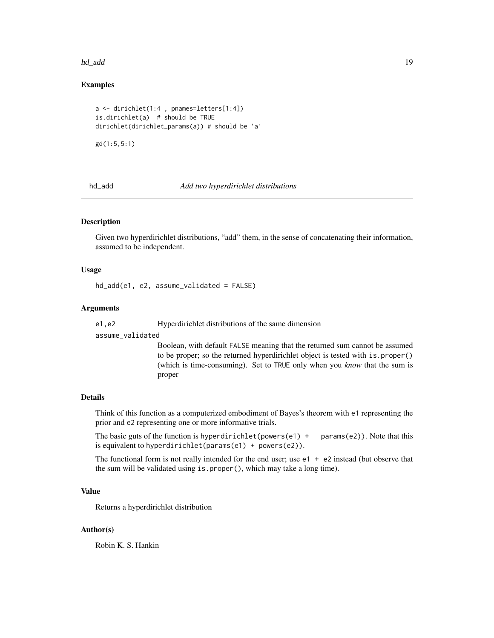#### <span id="page-18-0"></span>hd\_add 19

# Examples

```
a <- dirichlet(1:4 , pnames=letters[1:4])
is.dirichlet(a) # should be TRUE
dirichlet(dirichlet_params(a)) # should be 'a'
```
gd(1:5,5:1)

<span id="page-18-1"></span>hd\_add *Add two hyperdirichlet distributions*

# **Description**

Given two hyperdirichlet distributions, "add" them, in the sense of concatenating their information, assumed to be independent.

# Usage

hd\_add(e1, e2, assume\_validated = FALSE)

# Arguments

e1,e2 Hyperdirichlet distributions of the same dimension

assume\_validated

Boolean, with default FALSE meaning that the returned sum cannot be assumed to be proper; so the returned hyperdirichlet object is tested with is.proper() (which is time-consuming). Set to TRUE only when you *know* that the sum is proper

#### Details

Think of this function as a computerized embodiment of Bayes's theorem with e1 representing the prior and e2 representing one or more informative trials.

The basic guts of the function is hyperdirichlet(powers(e1) + params(e2)). Note that this is equivalent to hyperdirichlet(params(e1) + powers(e2)).

The functional form is not really intended for the end user; use  $e1 + e2$  instead (but observe that the sum will be validated using is.proper(), which may take a long time).

# Value

Returns a hyperdirichlet distribution

# Author(s)

Robin K. S. Hankin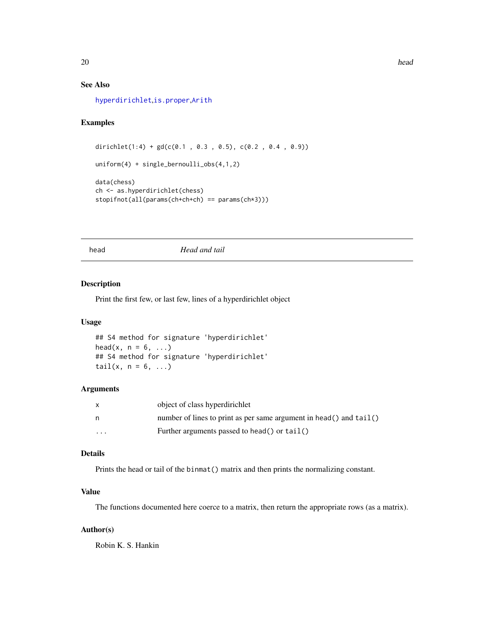# <span id="page-19-0"></span>See Also

[hyperdirichlet](#page-20-1),[is.proper](#page-3-1),[Arith](#page-0-0)

# Examples

```
dirichlet(1:4) + gd(c(0.1 , 0.3 , 0.5), c(0.2 , 0.4 , 0.9))uniform(4) + single_bernoulli_obs(4,1,2)
data(chess)
ch <- as.hyperdirichlet(chess)
stopifnot(all(params(ch+ch+ch) == params(ch*3)))
```
#### head *Head and tail*

# Description

Print the first few, or last few, lines of a hyperdirichlet object

#### Usage

```
## S4 method for signature 'hyperdirichlet'
head(x, n = 6, \ldots)## S4 method for signature 'hyperdirichlet'
tail(x, n = 6, ...)
```
#### Arguments

| $\mathsf{x}$            | object of class hyperdirichlet                                              |
|-------------------------|-----------------------------------------------------------------------------|
| n                       | number of lines to print as per same argument in head() and $\text{tail}()$ |
| $\cdot$ $\cdot$ $\cdot$ | Further arguments passed to head() or $tail()$                              |

# Details

Prints the head or tail of the binmat() matrix and then prints the normalizing constant.

# Value

The functions documented here coerce to a matrix, then return the appropriate rows (as a matrix).

# Author(s)

Robin K. S. Hankin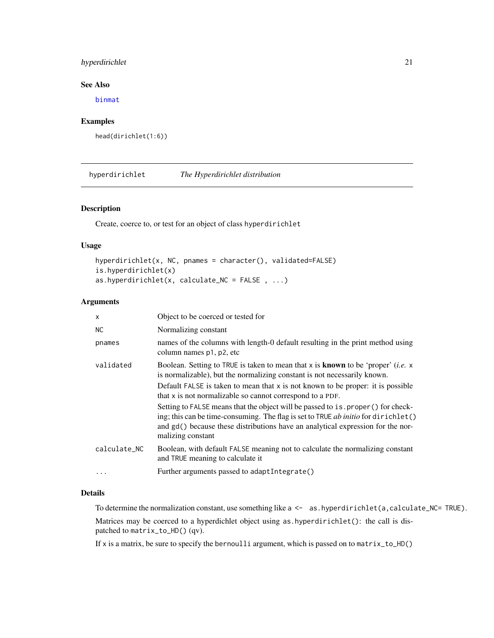# <span id="page-20-0"></span>hyperdirichlet 21

# See Also

[binmat](#page-7-1)

# Examples

```
head(dirichlet(1:6))
```
<span id="page-20-1"></span>hyperdirichlet *The Hyperdirichlet distribution*

# Description

Create, coerce to, or test for an object of class hyperdirichlet

# Usage

```
hyperdirichlet(x, NC, pnames = character(), validated=FALSE)
is.hyperdirichlet(x)
as.hyperdirichlet(x, calculate_NC = FALSE, ...)
```
# Arguments

| X            | Object to be coerced or tested for                                                                                                                                                                                                                                             |
|--------------|--------------------------------------------------------------------------------------------------------------------------------------------------------------------------------------------------------------------------------------------------------------------------------|
| <b>NC</b>    | Normalizing constant                                                                                                                                                                                                                                                           |
| pnames       | names of the columns with length-0 default resulting in the print method using<br>column names p1, p2, etc                                                                                                                                                                     |
| validated    | Boolean. Setting to TRUE is taken to mean that x is <b>known</b> to be 'proper' ( <i>i.e.</i> $x$<br>is normalizable), but the normalizing constant is not necessarily known.                                                                                                  |
|              | Default FALSE is taken to mean that $x$ is not known to be proper: it is possible<br>that x is not normalizable so cannot correspond to a PDF.                                                                                                                                 |
|              | Setting to FALSE means that the object will be passed to is proper () for check-<br>ing; this can be time-consuming. The flag is set to TRUE ab initio for dirichlet()<br>and gd() because these distributions have an analytical expression for the nor-<br>malizing constant |
| calculate NC | Boolean, with default FALSE meaning not to calculate the normalizing constant<br>and TRUE meaning to calculate it                                                                                                                                                              |
|              | Further arguments passed to adaptIntegrate()                                                                                                                                                                                                                                   |

# Details

To determine the normalization constant, use something like  $a \leftarrow a$ s. hyperdirichlet(a, calculate\_NC= TRUE).

Matrices may be coerced to a hyperdichlet object using as.hyperdirichlet(): the call is dispatched to matrix\_to\_HD() (qv).

If x is a matrix, be sure to specify the bernoulli argument, which is passed on to matrix\_to\_HD()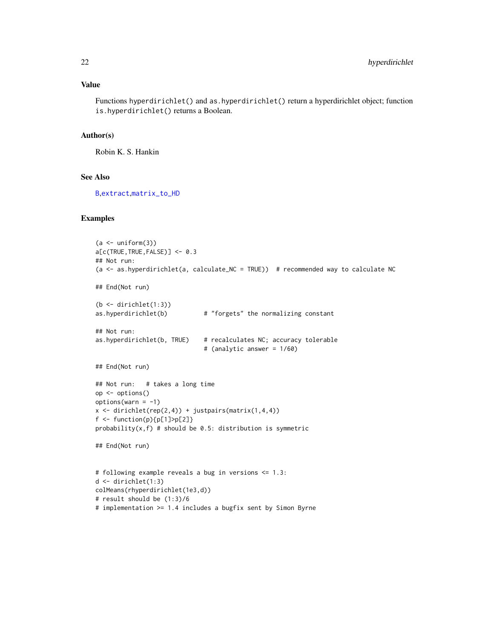# <span id="page-21-0"></span>Value

Functions hyperdirichlet() and as.hyperdirichlet() return a hyperdirichlet object; function is.hyperdirichlet() returns a Boolean.

# Author(s)

Robin K. S. Hankin

# See Also

[B](#page-3-2),[extract](#page-12-1),[matrix\\_to\\_HD](#page-24-1)

#### Examples

```
(a < - uniform(3))a[c(TRUE,TRUE,FALSE)] <- 0.3
## Not run:
(a <- as.hyperdirichlet(a, calculate_NC = TRUE)) # recommended way to calculate NC
## End(Not run)
(b \leftarrow dirichlet(1:3)as.hyperdirichlet(b) # "forgets" the normalizing constant
## Not run:
as.hyperdirichlet(b, TRUE) # recalculates NC; accuracy tolerable
                              # (analytic answer = 1/60)
## End(Not run)
## Not run: # takes a long time
op <- options()
options(varn = -1)x \leftarrow dirichlet(rep(2,4)) + justpairs(matrix(1,4,4))
f \leftarrow function(p){p[1]>p[2]}
probability(x, f) # should be 0.5: distribution is symmetric
## End(Not run)
# following example reveals a bug in versions <= 1.3:
d <- dirichlet(1:3)
colMeans(rhyperdirichlet(1e3,d))
# result should be (1:3)/6
# implementation >= 1.4 includes a bugfix sent by Simon Byrne
```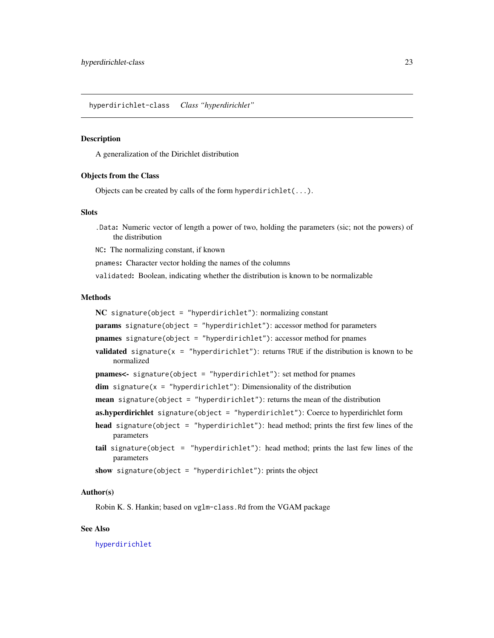<span id="page-22-0"></span>hyperdirichlet-class *Class "hyperdirichlet"*

#### Description

A generalization of the Dirichlet distribution

#### Objects from the Class

Objects can be created by calls of the form hyperdirichlet(...).

# **Slots**

.Data: Numeric vector of length a power of two, holding the parameters (sic; not the powers) of the distribution

NC: The normalizing constant, if known

pnames: Character vector holding the names of the columns

validated: Boolean, indicating whether the distribution is known to be normalizable

#### Methods

 $NC$  signature(object = "hyperdirichlet"): normalizing constant params signature(object = "hyperdirichlet"): accessor method for parameters pnames signature(object = "hyperdirichlet"): accessor method for pnames **validated** signature( $x =$  "hyperdirichlet"): returns TRUE if the distribution is known to be normalized pnames<- signature(object = "hyperdirichlet"): set method for pnames  $dim$  signature(x = "hyperdirichlet"): Dimensionality of the distribution **mean** signature(object = "hyperdirichlet"): returns the mean of the distribution as.hyperdirichlet signature(object = "hyperdirichlet"): Coerce to hyperdirichlet form head signature(object = "hyperdirichlet"): head method; prints the first few lines of the parameters tail signature(object = "hyperdirichlet"): head method; prints the last few lines of the parameters show signature(object = "hyperdirichlet"): prints the object

#### Author(s)

Robin K. S. Hankin; based on vglm-class.Rd from the VGAM package

# See Also

[hyperdirichlet](#page-20-1)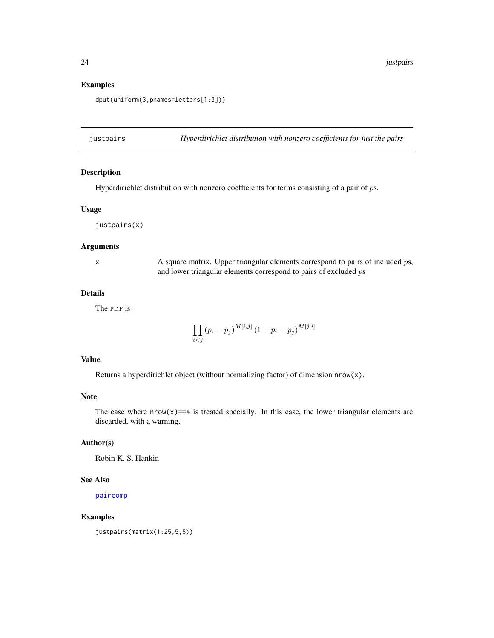24 justpairs

# Examples

dput(uniform(3,pnames=letters[1:3]))

<span id="page-23-1"></span>justpairs *Hyperdirichlet distribution with nonzero coefficients for just the pairs*

# Description

Hyperdirichlet distribution with nonzero coefficients for terms consisting of a pair of ps.

# Usage

justpairs(x)

#### Arguments

x A square matrix. Upper triangular elements correspond to pairs of included ps, and lower triangular elements correspond to pairs of excluded ps

# Details

The PDF is

$$
\prod_{i < j} (p_i + p_j)^{M[i,j]} (1 - p_i - p_j)^{M[j,i]}
$$

# Value

Returns a hyperdirichlet object (without normalizing factor) of dimension nrow(x).

# Note

The case where  $nrow(x) == 4$  is treated specially. In this case, the lower triangular elements are discarded, with a warning.

# Author(s)

Robin K. S. Hankin

#### See Also

[paircomp](#page-27-1)

# Examples

justpairs(matrix(1:25,5,5))

<span id="page-23-0"></span>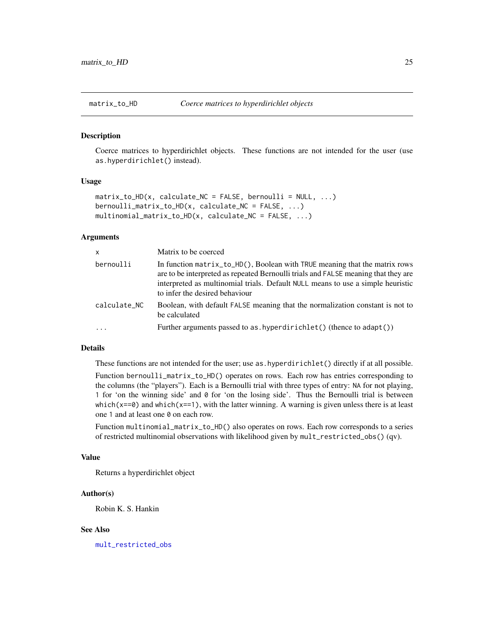<span id="page-24-1"></span><span id="page-24-0"></span>

#### Description

Coerce matrices to hyperdirichlet objects. These functions are not intended for the user (use as.hyperdirichlet() instead).

#### Usage

```
matrix_to_HD(x, calculate_NC = FALSE, bernoulli = NULL, ...)bernoulli_matrix_to_HD(x, calculate_NC = FALSE, ...)
multinomial_matrix_to_HD(x, calculate_NC = FALSE, ...)
```
#### Arguments

| $\mathsf{x}$ | Matrix to be coerced                                                                                                                                                                                                                                                                     |
|--------------|------------------------------------------------------------------------------------------------------------------------------------------------------------------------------------------------------------------------------------------------------------------------------------------|
| bernoulli    | In function $matrix_to_HD()$ , Boolean with TRUE meaning that the matrix rows<br>are to be interpreted as repeated Bernoulli trials and FALSE meaning that they are<br>interpreted as multinomial trials. Default NULL means to use a simple heuristic<br>to infer the desired behaviour |
| calculate_NC | Boolean, with default FALSE meaning that the normalization constant is not to<br>be calculated                                                                                                                                                                                           |
|              | Further arguments passed to as $  yperdirichlet() (thence to adapt())$                                                                                                                                                                                                                   |

#### Details

These functions are not intended for the user; use as.hyperdirichlet() directly if at all possible.

Function bernoulli\_matrix\_to\_HD() operates on rows. Each row has entries corresponding to the columns (the "players"). Each is a Bernoulli trial with three types of entry: NA for not playing, 1 for 'on the winning side' and 0 for 'on the losing side'. Thus the Bernoulli trial is between which( $x = 0$ ) and which( $x = 1$ ), with the latter winning. A warning is given unless there is at least one 1 and at least one 0 on each row.

Function multinomial\_matrix\_to\_HD() also operates on rows. Each row corresponds to a series of restricted multinomial observations with likelihood given by mult\_restricted\_obs() (qv).

#### Value

Returns a hyperdirichlet object

#### Author(s)

Robin K. S. Hankin

#### See Also

[mult\\_restricted\\_obs](#page-5-1)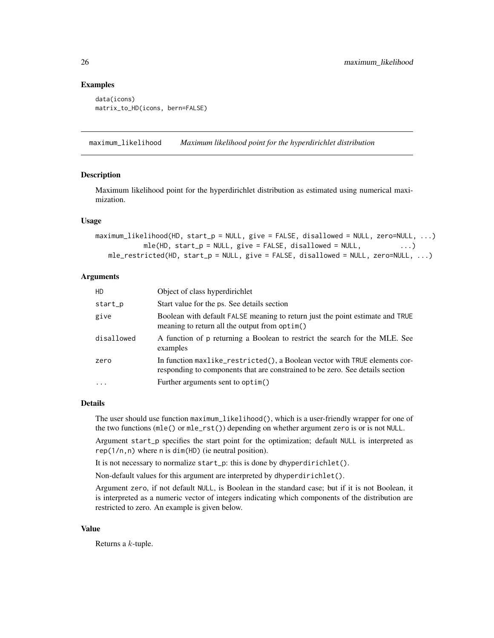# Examples

```
data(icons)
matrix_to_HD(icons, bern=FALSE)
```
maximum\_likelihood *Maximum likelihood point for the hyperdirichlet distribution*

### <span id="page-25-1"></span>Description

Maximum likelihood point for the hyperdirichlet distribution as estimated using numerical maximization.

#### Usage

```
maximum_likelihood(HD, start_p = NULL, give = FALSE, disallowed = NULL, zero=NULL, ...)
           mle(HD, start_p = NULL, give = FALSE, disallowed = NULL, ...)mle\_restricted(HD, start_p = NULL, give = FALSE, disallowed = NULL, zero=NULL, ...)
```
#### Arguments

| HD.        | Object of class hyperdirichlet                                                                                                                              |
|------------|-------------------------------------------------------------------------------------------------------------------------------------------------------------|
| start_p    | Start value for the ps. See details section                                                                                                                 |
| give       | Boolean with default FALSE meaning to return just the point estimate and TRUE<br>meaning to return all the output from optim()                              |
| disallowed | A function of p returning a Boolean to restrict the search for the MLE. See<br>examples                                                                     |
| zero       | In function maxlike_restricted(), a Boolean vector with TRUE elements cor-<br>responding to components that are constrained to be zero. See details section |
| $\ddotsc$  | Further arguments sent to optim()                                                                                                                           |

#### Details

The user should use function maximum\_likelihood(), which is a user-friendly wrapper for one of the two functions (mle() or mle\_rst()) depending on whether argument zero is or is not NULL.

Argument start\_p specifies the start point for the optimization; default NULL is interpreted as rep(1/n,n) where n is dim(HD) (ie neutral position).

It is not necessary to normalize start\_p: this is done by dhyperdirichlet().

Non-default values for this argument are interpreted by dhyperdirichlet().

Argument zero, if not default NULL, is Boolean in the standard case; but if it is not Boolean, it is interpreted as a numeric vector of integers indicating which components of the distribution are restricted to zero. An example is given below.

# Value

Returns a k-tuple.

<span id="page-25-0"></span>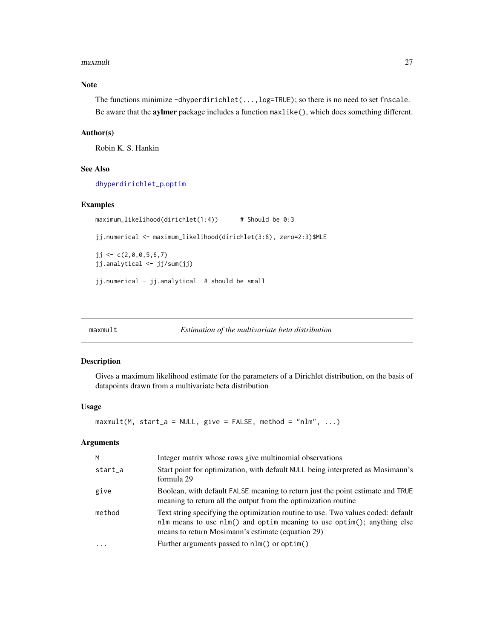#### <span id="page-26-0"></span>maxmult 27

# Note

The functions minimize -dhyperdirichlet(...,log=TRUE); so there is no need to set fnscale. Be aware that the aylmer package includes a function maxlike(), which does something different.

# Author(s)

Robin K. S. Hankin

# See Also

[dhyperdirichlet\\_p](#page-8-2),[optim](#page-0-0)

# Examples

```
maximum_likelihood(dirichlet(1:4)) # Should be 0:3
jj.numerical <- maximum_likelihood(dirichlet(3:8), zero=2:3)$MLE
jj \leftarrow c(2, 0, 0, 5, 6, 7)jj.analytical <- jj/sum(jj)
jj.numerical - jj.analytical # should be small
```
maxmult *Estimation of the multivariate beta distribution*

#### Description

Gives a maximum likelihood estimate for the parameters of a Dirichlet distribution, on the basis of datapoints drawn from a multivariate beta distribution

# Usage

```
maxmult(M, start_a = NULL, give = FALSE, method = "nlm", ...)
```
# Arguments

| M       | Integer matrix whose rows give multinomial observations                                                                                                                                                          |
|---------|------------------------------------------------------------------------------------------------------------------------------------------------------------------------------------------------------------------|
| start_a | Start point for optimization, with default NULL being interpreted as Mosimann's<br>formula 29                                                                                                                    |
| give    | Boolean, with default FALSE meaning to return just the point estimate and TRUE<br>meaning to return all the output from the optimization routine                                                                 |
| method  | Text string specifying the optimization routine to use. Two values coded: default<br>nlm means to use nlm() and optim meaning to use optim(); anything else<br>means to return Mosimann's estimate (equation 29) |
|         | Further arguments passed to nlm() or optim()                                                                                                                                                                     |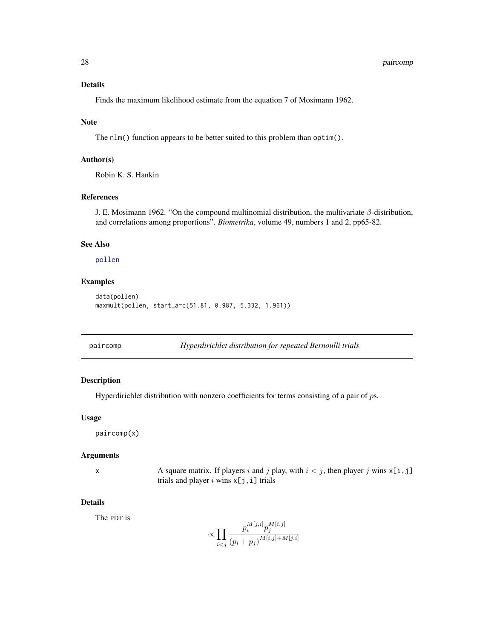#### <span id="page-27-0"></span>28 paircomp

# Details

Finds the maximum likelihood estimate from the equation 7 of Mosimann 1962.

#### Note

The nlm() function appears to be better suited to this problem than optim().

# Author(s)

Robin K. S. Hankin

#### References

J. E. Mosimann 1962. "On the compound multinomial distribution, the multivariate  $\beta$ -distribution, and correlations among proportions". *Biometrika*, volume 49, numbers 1 and 2, pp65-82.

# See Also

[pollen](#page-30-1)

# Examples

```
data(pollen)
maxmult(pollen, start_a=c(51.81, 0.987, 5.332, 1.961))
```
<span id="page-27-1"></span>paircomp *Hyperdirichlet distribution for repeated Bernoulli trials*

# Description

Hyperdirichlet distribution with nonzero coefficients for terms consisting of a pair of ps.

#### Usage

paircomp(x)

#### Arguments

x A square matrix. If players i and j play, with  $i < j$ , then player j wins  $x[i, j]$ trials and player i wins  $x[j,i]$  trials

#### Details

The PDF is

$$
\propto \prod_{i < j} \frac{p_i^{M[j, i]} p_j^{M[i, j]}}{(p_i + p_j)^{M[i, j] + M[j, i]}}
$$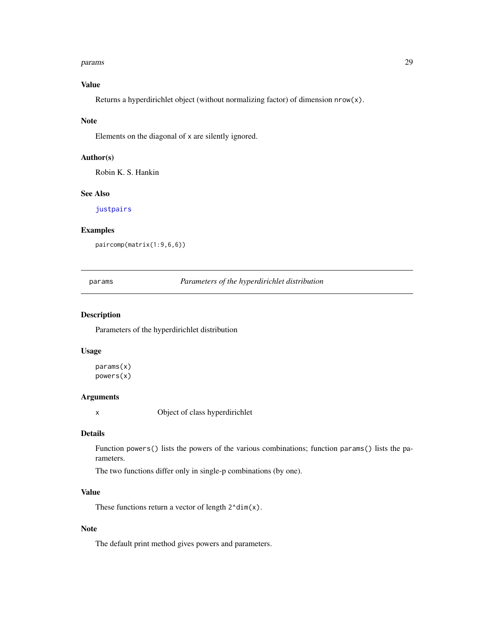#### <span id="page-28-0"></span>params 29

# Value

Returns a hyperdirichlet object (without normalizing factor) of dimension  $nrow(x)$ .

#### Note

Elements on the diagonal of x are silently ignored.

# Author(s)

Robin K. S. Hankin

#### See Also

[justpairs](#page-23-1)

# Examples

paircomp(matrix(1:9,6,6))

params *Parameters of the hyperdirichlet distribution*

# Description

Parameters of the hyperdirichlet distribution

### Usage

params(x) powers(x)

#### Arguments

x Object of class hyperdirichlet

#### Details

Function powers() lists the powers of the various combinations; function params() lists the parameters.

The two functions differ only in single-p combinations (by one).

# Value

These functions return a vector of length  $2^{\text{ndim}}(x)$ .

# Note

The default print method gives powers and parameters.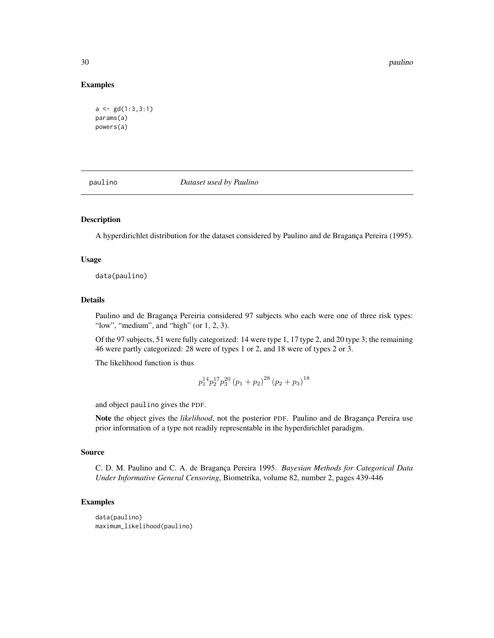#### 30 paulino

#### Examples

```
a \leftarrow gd(1:3,3:1)params(a)
powers(a)
```
paulino *Dataset used by Paulino*

# Description

A hyperdirichlet distribution for the dataset considered by Paulino and de Bragança Pereira (1995).

#### Usage

data(paulino)

#### Details

Paulino and de Bragança Pereiria considered 97 subjects who each were one of three risk types: "low", "medium", and "high" (or  $1, 2, 3$ ).

Of the 97 subjects, 51 were fully categorized: 14 were type 1, 17 type 2, and 20 type 3; the remaining 46 were partly categorized: 28 were of types 1 or 2, and 18 were of types 2 or 3.

The likelihood function is thus

$$
p_1^{14} p_2^{17} p_3^{20} (p_1 + p_2)^{28} (p_2 + p_3)^{18}
$$

and object paulino gives the PDF.

Note the object gives the *likelihood*, not the posterior PDF. Paulino and de Bragança Pereira use prior information of a type not readily representable in the hyperdirichlet paradigm.

#### Source

C. D. M. Paulino and C. A. de Bragança Pereira 1995. *Bayesian Methods for Categorical Data Under Informative General Censoring*, Biometrika, volume 82, number 2, pages 439-446

#### Examples

```
data(paulino)
maximum_likelihood(paulino)
```
<span id="page-29-0"></span>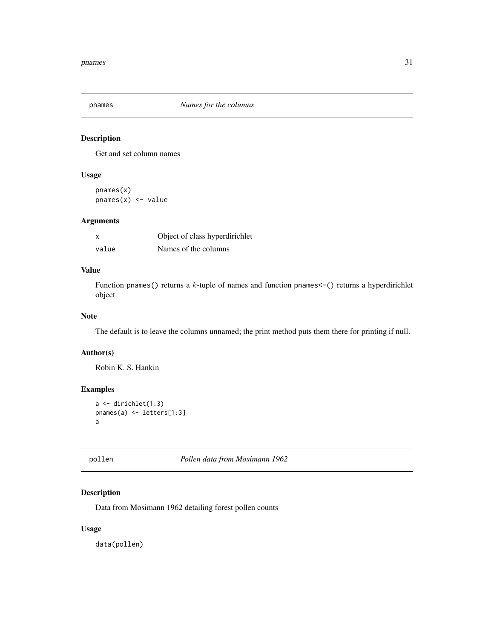<span id="page-30-0"></span>

# Description

Get and set column names

# Usage

pnames(x)  $p$ names $(x)$  <- value

# Arguments

| x     | Object of class hyperdirichlet |
|-------|--------------------------------|
| value | Names of the columns           |

# Value

Function pnames() returns a  $k$ -tuple of names and function pnames $\lt$ -() returns a hyperdirichlet object.

# Note

The default is to leave the columns unnamed; the print method puts them there for printing if null.

#### Author(s)

Robin K. S. Hankin

# Examples

```
a <- dirichlet(1:3)
pnames(a) <- letters[1:3]
a
```
<span id="page-30-1"></span>

pollen *Pollen data from Mosimann 1962*

# Description

Data from Mosimann 1962 detailing forest pollen counts

# Usage

data(pollen)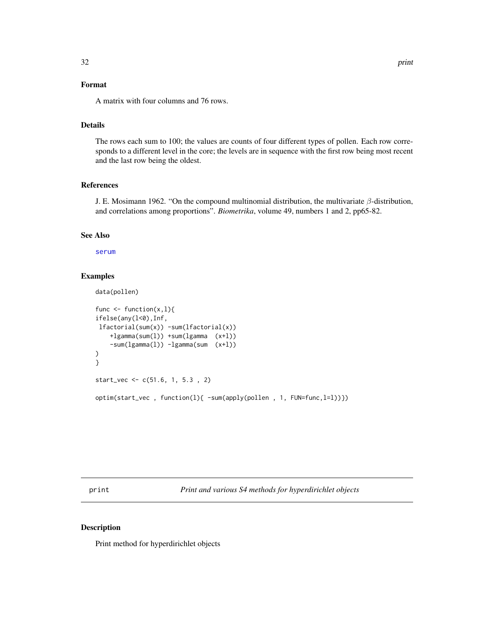# <span id="page-31-0"></span>Format

A matrix with four columns and 76 rows.

# Details

The rows each sum to 100; the values are counts of four different types of pollen. Each row corresponds to a different level in the core; the levels are in sequence with the first row being most recent and the last row being the oldest.

# References

J. E. Mosimann 1962. "On the compound multinomial distribution, the multivariate  $\beta$ -distribution, and correlations among proportions". *Biometrika*, volume 49, numbers 1 and 2, pp65-82.

# See Also

[serum](#page-32-1)

# Examples

data(pollen)

```
func \leq function(x, l){
ifelse(any(l<0),Inf,
lfactorial(sum(x)) -sum(lfactorial(x))
    +lgamma(sum(l)) +sum(lgamma (x+l))
    -sum(lgamma(l)) -lgamma(sum (x+l))
)
}
start_vec <- c(51.6, 1, 5.3 , 2)
optim(start_vec , function(l){ -sum(apply(pollen , 1, FUN=func,l=l))})
```
print *Print and various S4 methods for hyperdirichlet objects*

# <span id="page-31-1"></span>Description

Print method for hyperdirichlet objects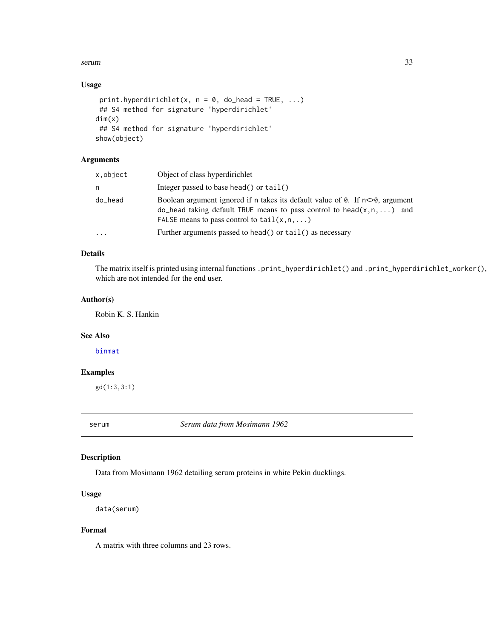#### <span id="page-32-0"></span>serum 33

# Usage

```
print.hyperdirichlet(x, n = 0, do_head = TRUE, ...)
## S4 method for signature 'hyperdirichlet'
dim(x)
## S4 method for signature 'hyperdirichlet'
show(object)
```
# Arguments

| x,object  | Object of class hyperdirichlet                                                                                                                                                                                                                   |
|-----------|--------------------------------------------------------------------------------------------------------------------------------------------------------------------------------------------------------------------------------------------------|
| n         | Integer passed to base head() or $tail()$                                                                                                                                                                                                        |
| do_head   | Boolean argument ignored if n takes its default value of $\theta$ . If $n \leq \theta$ , argument<br>$\alpha$ -head taking default TRUE means to pass control to head $(x, n, \dots)$ and<br>FALSE means to pass control to $tail(x, n, \ldots)$ |
| $\ddotsc$ | Further arguments passed to head () or $tail$ () as necessary                                                                                                                                                                                    |

# Details

The matrix itself is printed using internal functions .print\_hyperdirichlet() and .print\_hyperdirichlet\_worker(), which are not intended for the end user.

#### Author(s)

Robin K. S. Hankin

#### See Also

[binmat](#page-7-1)

# Examples

gd(1:3,3:1)

<span id="page-32-1"></span>serum *Serum data from Mosimann 1962*

# Description

Data from Mosimann 1962 detailing serum proteins in white Pekin ducklings.

#### Usage

```
data(serum)
```
# Format

A matrix with three columns and 23 rows.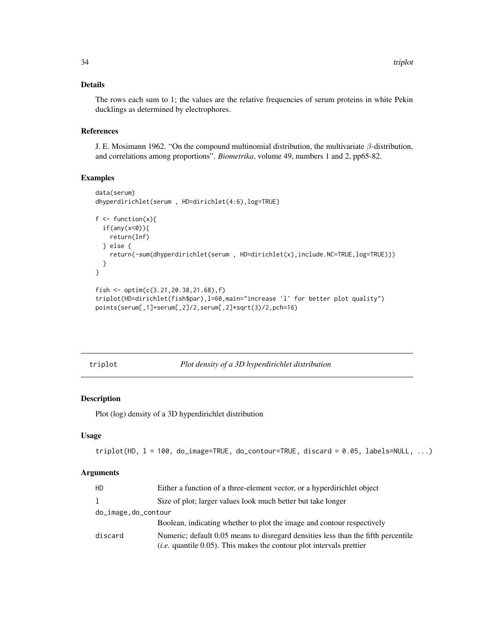# <span id="page-33-0"></span>Details

The rows each sum to 1; the values are the relative frequencies of serum proteins in white Pekin ducklings as determined by electrophores.

#### References

J. E. Mosimann 1962. "On the compound multinomial distribution, the multivariate  $\beta$ -distribution, and correlations among proportions". *Biometrika*, volume 49, numbers 1 and 2, pp65-82.

# Examples

```
data(serum)
dhyperdirichlet(serum , HD=dirichlet(4:6),log=TRUE)
f \leftarrow function(x){
 if(any(x<0)){
   return(Inf)
 } else {
   return(-sum(dhyperdirichlet(serum , HD=dirichlet(x),include.NC=TRUE,log=TRUE)))
 }
}
fish <- optim(c(3.21,20.38,21.68),f)
triplot(HD=dirichlet(fish$par),l=60,main="increase 'l' for better plot quality")
points(serum[,1]+serum[,2]/2,serum[,2]*sqrt(3)/2,pch=16)
```
triplot *Plot density of a 3D hyperdirichlet distribution*

# Description

Plot (log) density of a 3D hyperdirichlet distribution

#### Usage

```
triplot(HD, l = 100, do_image=TRUE, do_contour=TRUE, discard = 0.05, labels=NULL, ...)
```
#### Arguments

| Either a function of a three-element vector, or a hyperdirichlet object                                                                                              |
|----------------------------------------------------------------------------------------------------------------------------------------------------------------------|
| Size of plot; larger values look much better but take longer                                                                                                         |
| do_image,do_contour                                                                                                                                                  |
| Boolean, indicating whether to plot the image and contour respectively                                                                                               |
| Numeric; default 0.05 means to disregard densities less than the fifth percentile<br>( <i>i.e.</i> quantile $0.05$ ). This makes the contour plot intervals prettier |
|                                                                                                                                                                      |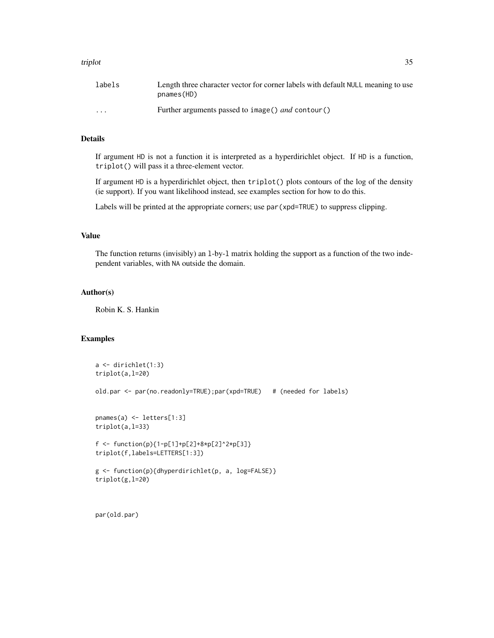#### triplot 35

| labels                  | Length three character vector for corner labels with default NULL meaning to use<br>pnames(HD) |
|-------------------------|------------------------------------------------------------------------------------------------|
| $\cdot$ $\cdot$ $\cdot$ | Further arguments passed to image() <i>and</i> contour()                                       |

# Details

If argument HD is not a function it is interpreted as a hyperdirichlet object. If HD is a function, triplot() will pass it a three-element vector.

If argument HD is a hyperdirichlet object, then triplot() plots contours of the log of the density (ie support). If you want likelihood instead, see examples section for how to do this.

Labels will be printed at the appropriate corners; use par(xpd=TRUE) to suppress clipping.

# Value

The function returns (invisibly) an l-by-l matrix holding the support as a function of the two independent variables, with NA outside the domain.

# Author(s)

Robin K. S. Hankin

# Examples

```
a <- dirichlet(1:3)
triplot(a,l=20)
old.par <- par(no.readonly=TRUE);par(xpd=TRUE) # (needed for labels)
pnames(a) <- letters[1:3]
triplot(a,l=33)
f <- function(p){1-p[1]+p[2]+8*p[2]^2*p[3]}
triplot(f,labels=LETTERS[1:3])
g <- function(p){dhyperdirichlet(p, a, log=FALSE)}
triplot(g,l=20)
```
par(old.par)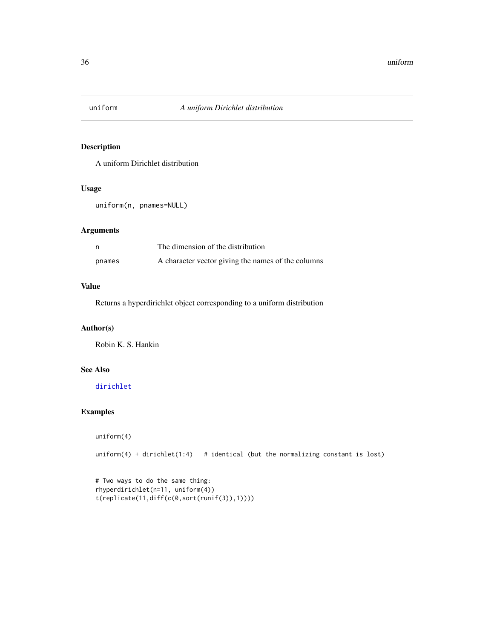<span id="page-35-0"></span>

# Description

A uniform Dirichlet distribution

### Usage

uniform(n, pnames=NULL)

# Arguments

| - n    | The dimension of the distribution                  |
|--------|----------------------------------------------------|
| pnames | A character vector giving the names of the columns |

# Value

Returns a hyperdirichlet object corresponding to a uniform distribution

# Author(s)

Robin K. S. Hankin

# See Also

[dirichlet](#page-16-1)

# Examples

```
uniform(4)
```
uniform $(4)$  + dirichlet $(1:4)$  # identical (but the normalizing constant is lost)

```
# Two ways to do the same thing:
rhyperdirichlet(n=11, uniform(4))
t(replicate(11,diff(c(0,sort(runif(3)),1))))
```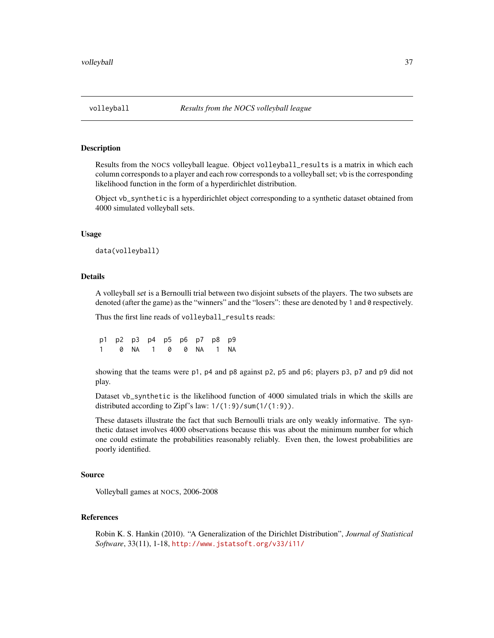#### <span id="page-36-0"></span>Description

Results from the NOCS volleyball league. Object volleyball\_results is a matrix in which each column corresponds to a player and each row corresponds to a volleyball set; vb is the corresponding likelihood function in the form of a hyperdirichlet distribution.

Object vb\_synthetic is a hyperdirichlet object corresponding to a synthetic dataset obtained from 4000 simulated volleyball sets.

#### Usage

data(volleyball)

#### Details

A volleyball set is a Bernoulli trial between two disjoint subsets of the players. The two subsets are denoted (after the game) as the "winners" and the "losers": these are denoted by 1 and 0 respectively.

Thus the first line reads of volleyball\_results reads:

p1 p2 p3 p4 p5 p6 p7 p8 p9 1 0 NA 1 0 0 NA 1 NA

showing that the teams were p1, p4 and p8 against p2, p5 and p6; players p3, p7 and p9 did not play.

Dataset vb\_synthetic is the likelihood function of 4000 simulated trials in which the skills are distributed according to Zipf's law:  $1/(1:9)/\text{sum}(1:9)$ .

These datasets illustrate the fact that such Bernoulli trials are only weakly informative. The synthetic dataset involves 4000 observations because this was about the minimum number for which one could estimate the probabilities reasonably reliably. Even then, the lowest probabilities are poorly identified.

# Source

Volleyball games at NOCS, 2006-2008

# References

Robin K. S. Hankin (2010). "A Generalization of the Dirichlet Distribution", *Journal of Statistical Software*, 33(11), 1-18, <http://www.jstatsoft.org/v33/i11/>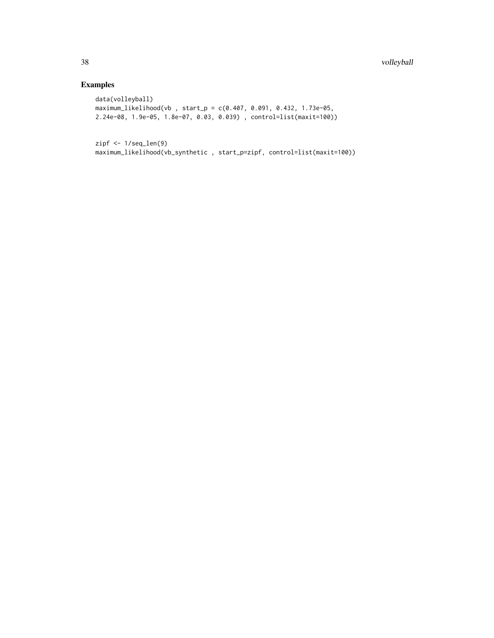# Examples

```
data(volleyball)
maximum_likelihood(vb , start_p = c(0.407, 0.091, 0.432, 1.73e-05,
2.24e-08, 1.9e-05, 1.8e-07, 0.03, 0.039) , control=list(maxit=100))
```
zipf <- 1/seq\_len(9) maximum\_likelihood(vb\_synthetic , start\_p=zipf, control=list(maxit=100))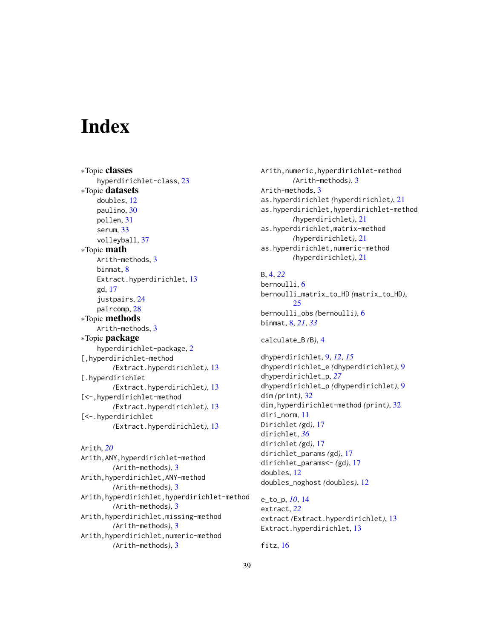# <span id="page-38-0"></span>**Index**

∗Topic classes hyperdirichlet-class, [23](#page-22-0) ∗Topic datasets doubles, [12](#page-11-0) paulino, [30](#page-29-0) pollen, [31](#page-30-0) serum, [33](#page-32-0) volleyball, [37](#page-36-0) ∗Topic math Arith-methods, [3](#page-2-0) binmat, [8](#page-7-0) Extract.hyperdirichlet, [13](#page-12-0) gd, [17](#page-16-0) justpairs, [24](#page-23-0) paircomp, [28](#page-27-0) ∗Topic methods Arith-methods, [3](#page-2-0) ∗Topic package hyperdirichlet-package, [2](#page-1-0) [,hyperdirichlet-method *(*Extract.hyperdirichlet*)*, [13](#page-12-0) [.hyperdirichlet *(*Extract.hyperdirichlet*)*, [13](#page-12-0) [<-,hyperdirichlet-method *(*Extract.hyperdirichlet*)*, [13](#page-12-0) [<-.hyperdirichlet *(*Extract.hyperdirichlet*)*, [13](#page-12-0)

```
Arith, 20
Arith,ANY,hyperdirichlet-method
        (Arith-methods), 3
Arith,hyperdirichlet,ANY-method
        (Arith-methods), 3
Arith,hyperdirichlet,hyperdirichlet-method
        (Arith-methods), 3
Arith,hyperdirichlet,missing-method
        (Arith-methods), 3
Arith,hyperdirichlet,numeric-method
        (Arith-methods), 3
```
Arith,numeric,hyperdirichlet-method *(*Arith-methods*)*, [3](#page-2-0) Arith-methods, [3](#page-2-0) as.hyperdirichlet *(*hyperdirichlet*)*, [21](#page-20-0) as.hyperdirichlet,hyperdirichlet-method *(*hyperdirichlet*)*, [21](#page-20-0) as.hyperdirichlet,matrix-method *(*hyperdirichlet*)*, [21](#page-20-0) as.hyperdirichlet,numeric-method *(*hyperdirichlet*)*, [21](#page-20-0)

# B, [4,](#page-3-0) *[22](#page-21-0)*

```
bernoulli, 6
bernoulli_matrix_to_HD (matrix_to_HD),
        25
bernoulli_obs (bernoulli), 6
binmat, 8, 21, 33
```

```
calculate_B (B), 4
```
dhyperdirichlet, [9,](#page-8-0) *[12](#page-11-0)*, *[15](#page-14-0)* dhyperdirichlet\_e *(*dhyperdirichlet*)*, [9](#page-8-0) dhyperdirichlet\_p, *[27](#page-26-0)* dhyperdirichlet\_p *(*dhyperdirichlet*)*, [9](#page-8-0) dim *(*print*)*, [32](#page-31-0) dim,hyperdirichlet-method *(*print*)*, [32](#page-31-0) diri\_norm, [11](#page-10-0) Dirichlet *(*gd*)*, [17](#page-16-0) dirichlet, *[36](#page-35-0)* dirichlet *(*gd*)*, [17](#page-16-0) dirichlet\_params *(*gd*)*, [17](#page-16-0) dirichlet\_params<- *(*gd*)*, [17](#page-16-0) doubles, [12](#page-11-0) doubles\_noghost *(*doubles*)*, [12](#page-11-0)

e\_to\_p, *[10](#page-9-0)*, [14](#page-13-0) extract, *[22](#page-21-0)* extract *(*Extract.hyperdirichlet*)*, [13](#page-12-0) Extract.hyperdirichlet, [13](#page-12-0)

fitz, [16](#page-15-0)